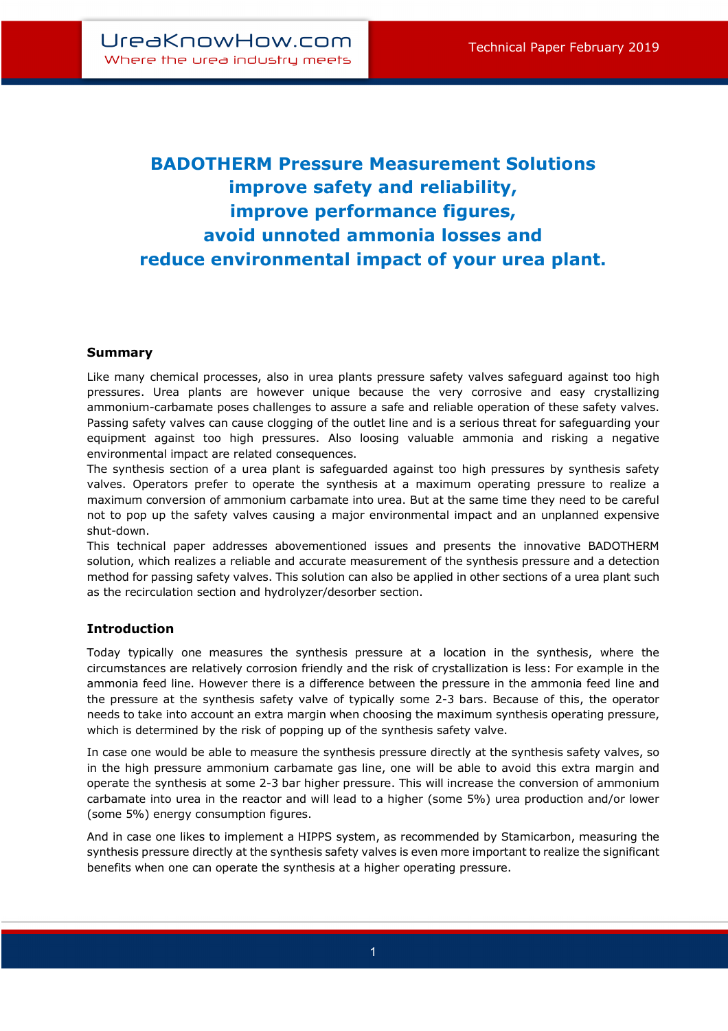# **BADOTHERM Pressure Measurement Solutions improve safety and reliability, improve performance figures, avoid unnoted ammonia losses and reduce environmental impact of your urea plant.**

# **Summary**

Like many chemical processes, also in urea plants pressure safety valves safeguard against too high pressures. Urea plants are however unique because the very corrosive and easy crystallizing ammonium-carbamate poses challenges to assure a safe and reliable operation of these safety valves. Passing safety valves can cause clogging of the outlet line and is a serious threat for safeguarding your equipment against too high pressures. Also loosing valuable ammonia and risking a negative environmental impact are related consequences.

The synthesis section of a urea plant is safeguarded against too high pressures by synthesis safety valves. Operators prefer to operate the synthesis at a maximum operating pressure to realize a maximum conversion of ammonium carbamate into urea. But at the same time they need to be careful not to pop up the safety valves causing a major environmental impact and an unplanned expensive shut-down.

This technical paper addresses abovementioned issues and presents the innovative BADOTHERM solution, which realizes a reliable and accurate measurement of the synthesis pressure and a detection method for passing safety valves. This solution can also be applied in other sections of a urea plant such as the recirculation section and hydrolyzer/desorber section.

# **Introduction**

Today typically one measures the synthesis pressure at a location in the synthesis, where the circumstances are relatively corrosion friendly and the risk of crystallization is less: For example in the ammonia feed line. However there is a difference between the pressure in the ammonia feed line and the pressure at the synthesis safety valve of typically some 2-3 bars. Because of this, the operator needs to take into account an extra margin when choosing the maximum synthesis operating pressure, which is determined by the risk of popping up of the synthesis safety valve.

In case one would be able to measure the synthesis pressure directly at the synthesis safety valves, so in the high pressure ammonium carbamate gas line, one will be able to avoid this extra margin and operate the synthesis at some 2-3 bar higher pressure. This will increase the conversion of ammonium carbamate into urea in the reactor and will lead to a higher (some 5%) urea production and/or lower (some 5%) energy consumption figures.

And in case one likes to implement a HIPPS system, as recommended by Stamicarbon, measuring the synthesis pressure directly at the synthesis safety valves is even more important to realize the significant benefits when one can operate the synthesis at a higher operating pressure.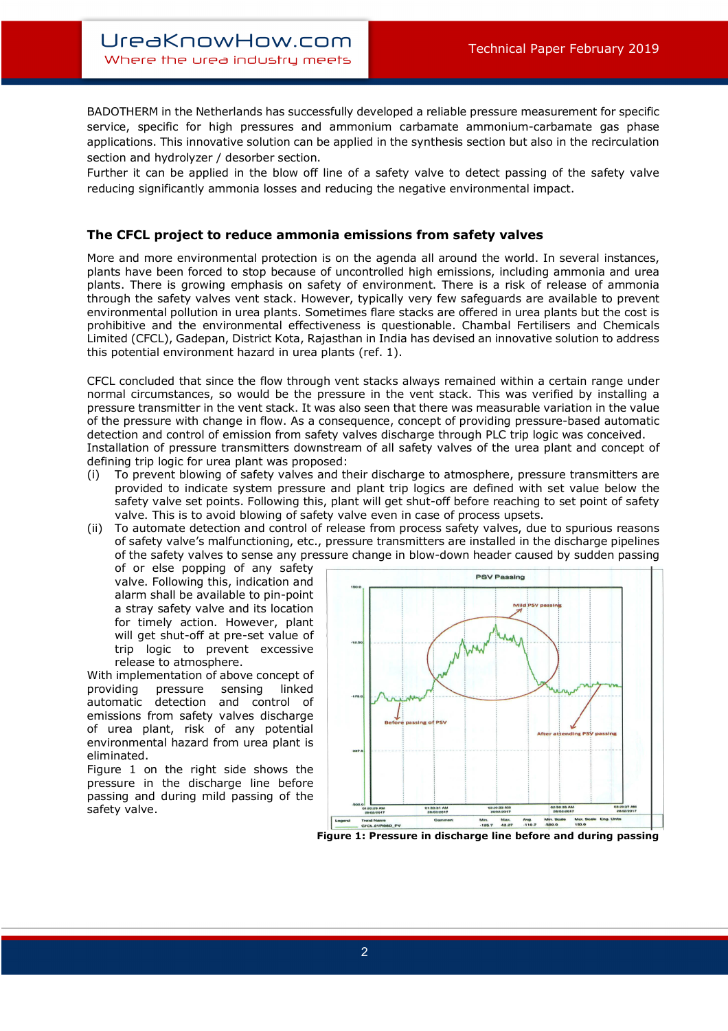BADOTHERM in the Netherlands has successfully developed a reliable pressure measurement for specific service, specific for high pressures and ammonium carbamate ammonium-carbamate gas phase applications. This innovative solution can be applied in the synthesis section but also in the recirculation section and hydrolyzer / desorber section.

Further it can be applied in the blow off line of a safety valve to detect passing of the safety valve reducing significantly ammonia losses and reducing the negative environmental impact.

### **The CFCL project to reduce ammonia emissions from safety valves**

More and more environmental protection is on the agenda all around the world. In several instances, plants have been forced to stop because of uncontrolled high emissions, including ammonia and urea plants. There is growing emphasis on safety of environment. There is a risk of release of ammonia through the safety valves vent stack. However, typically very few safeguards are available to prevent environmental pollution in urea plants. Sometimes flare stacks are offered in urea plants but the cost is prohibitive and the environmental effectiveness is questionable. Chambal Fertilisers and Chemicals Limited (CFCL), Gadepan, District Kota, Rajasthan in India has devised an innovative solution to address this potential environment hazard in urea plants (ref. 1).

CFCL concluded that since the flow through vent stacks always remained within a certain range under normal circumstances, so would be the pressure in the vent stack. This was verified by installing a pressure transmitter in the vent stack. It was also seen that there was measurable variation in the value of the pressure with change in flow. As a consequence, concept of providing pressure-based automatic detection and control of emission from safety valves discharge through PLC trip logic was conceived. Installation of pressure transmitters downstream of all safety valves of the urea plant and concept of defining trip logic for urea plant was proposed:

- (i) To prevent blowing of safety valves and their discharge to atmosphere, pressure transmitters are provided to indicate system pressure and plant trip logics are defined with set value below the safety valve set points. Following this, plant will get shut-off before reaching to set point of safety valve. This is to avoid blowing of safety valve even in case of process upsets.
- (ii) To automate detection and control of release from process safety valves, due to spurious reasons of safety valve's malfunctioning, etc., pressure transmitters are installed in the discharge pipelines of the safety valves to sense any pressure change in blow-down header caused by sudden passing

of or else popping of any safety valve. Following this, indication and alarm shall be available to pin-point a stray safety valve and its location for timely action. However, plant will get shut-off at pre-set value of trip logic to prevent excessive release to atmosphere.

With implementation of above concept of providing pressure sensing linked automatic detection and control of emissions from safety valves discharge of urea plant, risk of any potential environmental hazard from urea plant is eliminated.

Figure 1 on the right side shows the pressure in the discharge line before passing and during mild passing of the safety valve.

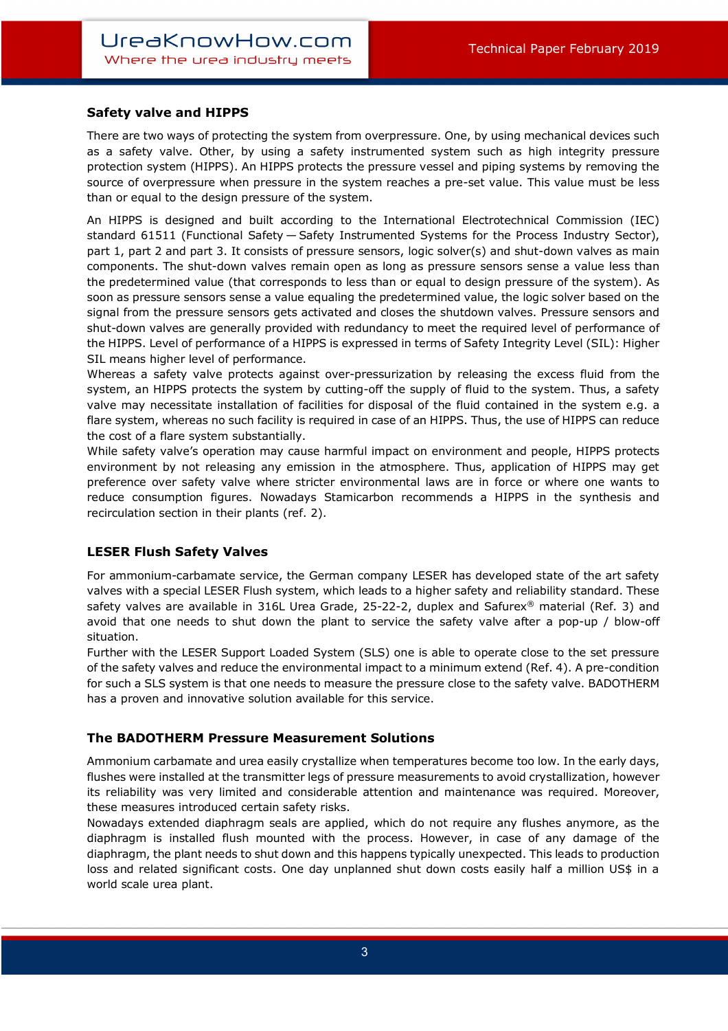# **Safety valve and HIPPS**

There are two ways of protecting the system from overpressure. One, by using mechanical devices such as a safety valve. Other, by using a safety instrumented system such as high integrity pressure protection system (HIPPS). An HIPPS protects the pressure vessel and piping systems by removing the source of overpressure when pressure in the system reaches a pre-set value. This value must be less than or equal to the design pressure of the system.

An HIPPS is designed and built according to the International Electrotechnical Commission (IEC) standard 61511 (Functional Safety — Safety Instrumented Systems for the Process Industry Sector), part 1, part 2 and part 3. It consists of pressure sensors, logic solver(s) and shut-down valves as main components. The shut-down valves remain open as long as pressure sensors sense a value less than the predetermined value (that corresponds to less than or equal to design pressure of the system). As soon as pressure sensors sense a value equaling the predetermined value, the logic solver based on the signal from the pressure sensors gets activated and closes the shutdown valves. Pressure sensors and shut-down valves are generally provided with redundancy to meet the required level of performance of the HIPPS. Level of performance of a HIPPS is expressed in terms of Safety Integrity Level (SIL): Higher SIL means higher level of performance.

Whereas a safety valve protects against over-pressurization by releasing the excess fluid from the system, an HIPPS protects the system by cutting-off the supply of fluid to the system. Thus, a safety valve may necessitate installation of facilities for disposal of the fluid contained in the system e.g. a flare system, whereas no such facility is required in case of an HIPPS. Thus, the use of HIPPS can reduce the cost of a flare system substantially.

While safety valve's operation may cause harmful impact on environment and people, HIPPS protects environment by not releasing any emission in the atmosphere. Thus, application of HIPPS may get preference over safety valve where stricter environmental laws are in force or where one wants to reduce consumption figures. Nowadays Stamicarbon recommends a HIPPS in the synthesis and recirculation section in their plants (ref. 2).

#### **LESER Flush Safety Valves**

For ammonium-carbamate service, the German company LESER has developed state of the art safety valves with a special LESER Flush system, which leads to a higher safety and reliability standard. These safety valves are available in 316L Urea Grade, 25-22-2, duplex and Safurex® material (Ref. 3) and avoid that one needs to shut down the plant to service the safety valve after a pop-up / blow-off situation.

Further with the LESER Support Loaded System (SLS) one is able to operate close to the set pressure of the safety valves and reduce the environmental impact to a minimum extend (Ref. 4). A pre-condition for such a SLS system is that one needs to measure the pressure close to the safety valve. BADOTHERM has a proven and innovative solution available for this service.

#### **The BADOTHERM Pressure Measurement Solutions**

Ammonium carbamate and urea easily crystallize when temperatures become too low. In the early days, flushes were installed at the transmitter legs of pressure measurements to avoid crystallization, however its reliability was very limited and considerable attention and maintenance was required. Moreover, these measures introduced certain safety risks.

Nowadays extended diaphragm seals are applied, which do not require any flushes anymore, as the diaphragm is installed flush mounted with the process. However, in case of any damage of the diaphragm, the plant needs to shut down and this happens typically unexpected. This leads to production loss and related significant costs. One day unplanned shut down costs easily half a million US\$ in a world scale urea plant.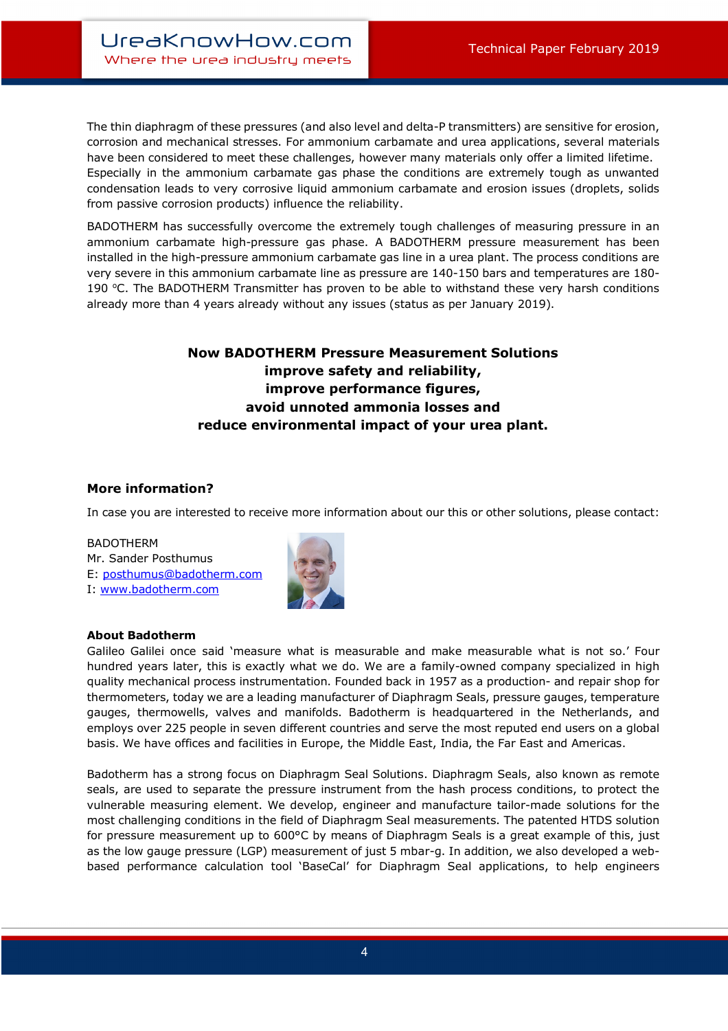The thin diaphragm of these pressures (and also level and delta-P transmitters) are sensitive for erosion, corrosion and mechanical stresses. For ammonium carbamate and urea applications, several materials have been considered to meet these challenges, however many materials only offer a limited lifetime. Especially in the ammonium carbamate gas phase the conditions are extremely tough as unwanted condensation leads to very corrosive liquid ammonium carbamate and erosion issues (droplets, solids from passive corrosion products) influence the reliability.

BADOTHERM has successfully overcome the extremely tough challenges of measuring pressure in an ammonium carbamate high-pressure gas phase. A BADOTHERM pressure measurement has been installed in the high-pressure ammonium carbamate gas line in a urea plant. The process conditions are very severe in this ammonium carbamate line as pressure are 140-150 bars and temperatures are 180- 190 °C. The BADOTHERM Transmitter has proven to be able to withstand these very harsh conditions already more than 4 years already without any issues (status as per January 2019).

# **Now BADOTHERM Pressure Measurement Solutions improve safety and reliability, improve performance figures, avoid unnoted ammonia losses and reduce environmental impact of your urea plant.**

# **More information?**

In case you are interested to receive more information about our this or other solutions, please contact:

#### BADOTHERM

Mr. Sander Posthumus E: posthumus@badotherm.com I: www.badotherm.com



# **About Badotherm**

Galileo Galilei once said 'measure what is measurable and make measurable what is not so.' Four hundred years later, this is exactly what we do. We are a family-owned company specialized in high quality mechanical process instrumentation. Founded back in 1957 as a production- and repair shop for thermometers, today we are a leading manufacturer of Diaphragm Seals, pressure gauges, temperature gauges, thermowells, valves and manifolds. Badotherm is headquartered in the Netherlands, and employs over 225 people in seven different countries and serve the most reputed end users on a global basis. We have offices and facilities in Europe, the Middle East, India, the Far East and Americas.

Badotherm has a strong focus on Diaphragm Seal Solutions. Diaphragm Seals, also known as remote seals, are used to separate the pressure instrument from the hash process conditions, to protect the vulnerable measuring element. We develop, engineer and manufacture tailor-made solutions for the most challenging conditions in the field of Diaphragm Seal measurements. The patented HTDS solution for pressure measurement up to 600°C by means of Diaphragm Seals is a great example of this, just as the low gauge pressure (LGP) measurement of just 5 mbar-g. In addition, we also developed a webbased performance calculation tool 'BaseCal' for Diaphragm Seal applications, to help engineers